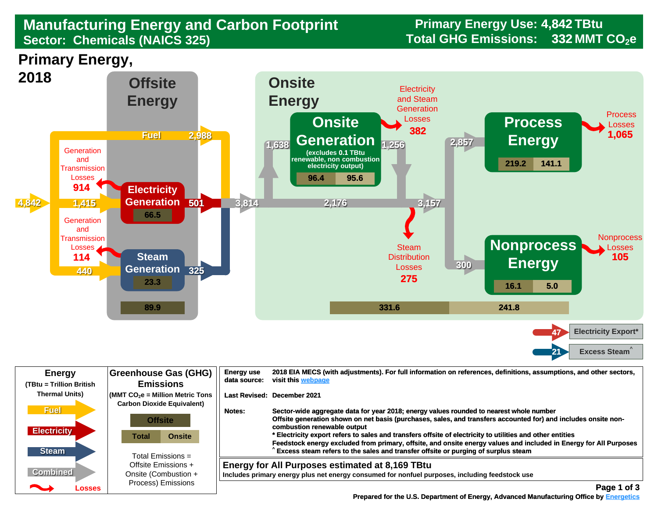## ${\sf Sector:~Chemicals~(NAICS~325)}$   ${\sf 332~MMT~CO_2e}$ **Manufacturing Energy and Carbon Footprint Sector: Chemicals (NAICS 325)**

**Primary Energy,** 



| <b>Energy</b><br>(TBtu = Trillion British         | Greenhouse Gas (GHG)<br><b>Emissions</b>                                                                 | <b>Energy use</b><br>data source: | 2018 EIA MECS (with adjustments). For full information on references, definitions, assumptions, and other sectors,<br>visit this webpage                                                                                                                                                                                                                                                                                                                                                                                                                        |
|---------------------------------------------------|----------------------------------------------------------------------------------------------------------|-----------------------------------|-----------------------------------------------------------------------------------------------------------------------------------------------------------------------------------------------------------------------------------------------------------------------------------------------------------------------------------------------------------------------------------------------------------------------------------------------------------------------------------------------------------------------------------------------------------------|
| <b>Thermal Units)</b>                             | $\sqrt{\frac{1}{100}}$ (MMT CO <sub>2</sub> e = Million Metric Tons<br><b>Carbon Dioxide Equivalent)</b> |                                   | <b>Last Revised: December 2021</b>                                                                                                                                                                                                                                                                                                                                                                                                                                                                                                                              |
| <b>Fuel</b><br><b>Electricity</b><br><b>Steam</b> | <b>Offsite</b><br><b>Onsite</b><br>Total<br>Total Emissions =                                            | Notes:                            | Sector-wide aggregate data for year 2018; energy values rounded to nearest whole number<br>Offsite generation shown on net basis (purchases, sales, and transfers accounted for) and includes onsite non-<br>combustion renewable output<br>* Electricity export refers to sales and transfers offsite of electricity to utilities and other entities<br>Feedstock energy excluded from primary, offsite, and onsite energy values and included in Energy for All Purposes<br>Excess steam refers to the sales and transfer offsite or purging of surplus steam |
| <b>Combined</b>                                   | Offsite Emissions +<br>Onsite (Combustion +                                                              |                                   | Energy for All Purposes estimated at 8,169 TBtu<br>Includes primary energy plus net energy consumed for nonfuel purposes, including feedstock use                                                                                                                                                                                                                                                                                                                                                                                                               |
| ∼<br>Losses                                       | Process) Emissions                                                                                       |                                   | Page 1 of 3                                                                                                                                                                                                                                                                                                                                                                                                                                                                                                                                                     |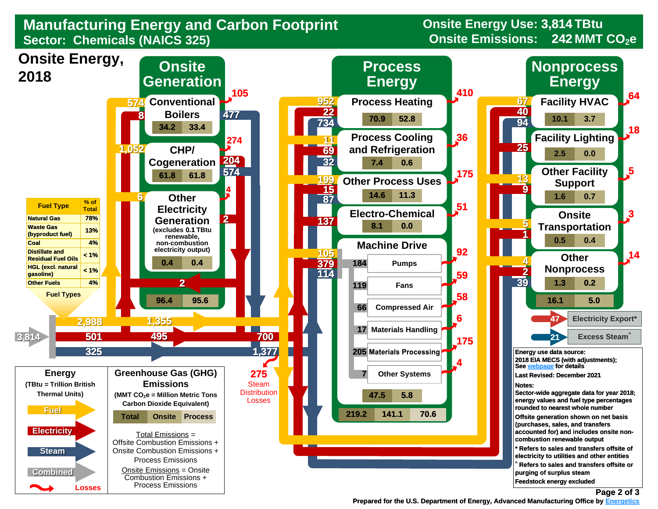## **Manufacturing Energy and Carbon Footprint Sector: Chemicals (NAICS 325)**

**Onsite Energy Use: 3,814 TBtu Onsite Emissions: 242 MMT CO<sub>2</sub>e**